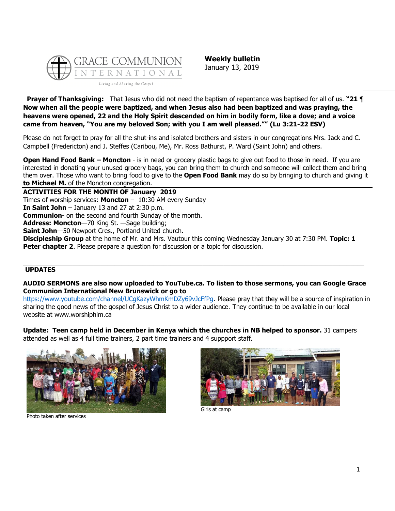

**Weekly bulletin** January 13, 2019

**Prayer of Thanksgiving:** That Jesus who did not need the baptism of repentance was baptised for all of us. **"21 ¶ Now when all the people were baptized, and when Jesus also had been baptized and was praying, the heavens were opened, 22 and the Holy Spirit descended on him in bodily form, like a dove; and a voice came from heaven, "You are my beloved Son; with you I am well pleased."" (Lu 3:21-22 ESV)**

Please do not forget to pray for all the shut-ins and isolated brothers and sisters in our congregations Mrs. Jack and C. Campbell (Fredericton) and J. Steffes (Caribou, Me), Mr. Ross Bathurst, P. Ward (Saint John) and others.

**Open Hand Food Bank – Moncton** - is in need or grocery plastic bags to give out food to those in need. If you are interested in donating your unused grocery bags, you can bring them to church and someone will collect them and bring them over. Those who want to bring food to give to the **Open Food Bank** may do so by bringing to church and giving it **to Michael M.** of the Moncton congregation.

**ACTIVITIES FOR THE MONTH OF January 2019** Times of worship services: **Moncton** – 10:30 AM every Sunday **In Saint John** – January 13 and 27 at 2:30 p.m. **Communion**- on the second and fourth Sunday of the month. **Address: Moncton**—70 King St. —Sage building; **Saint John**—50 Newport Cres., Portland United church. **Discipleship Group** at the home of Mr. and Mrs. Vautour this coming Wednesday January 30 at 7:30 PM. **Topic: 1 Peter chapter 2**. Please prepare a question for discussion or a topic for discussion.

## **UPDATES**

## **AUDIO SERMONS are also now uploaded to YouTube.ca. To listen to those sermons, you can Google Grace Communion International New Brunswick or go to**

\_\_\_\_\_\_\_\_\_\_\_\_\_\_\_\_\_\_\_\_\_\_\_\_\_\_\_\_\_\_\_\_\_\_\_\_\_\_\_\_\_\_\_\_\_\_\_\_\_\_\_\_\_\_\_\_\_\_\_\_\_\_\_\_\_\_\_\_\_\_\_\_\_\_\_\_\_\_\_\_\_\_\_\_\_\_\_\_\_\_\_\_\_\_\_\_\_

https://www.youtube.com/channel/UCqKazyWhmKmDZy69vJcFfPq. Please pray that they will be a source of inspiration in sharing the good news of the gospel of Jesus Christ to a wider audience. They continue to be available in our local website at www.worshiphim.ca

**Update: Teen camp held in December in Kenya which the churches in NB helped to sponsor.** 31 campers attended as well as 4 full time trainers, 2 part time trainers and 4 suppport staff.



Photo taken after services



Girls at camp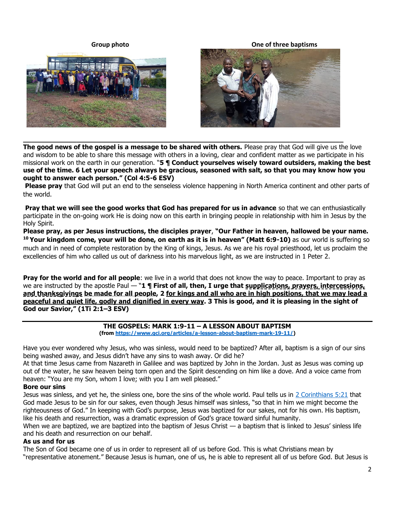





**The good news of the gospel is a message to be shared with others.** Please pray that God will give us the love and wisdom to be able to share this message with others in a loving, clear and confident matter as we participate in his missional work on the earth in our generation. "**5 ¶ Conduct yourselves wisely toward outsiders, making the best use of the time. 6 Let your speech always be gracious, seasoned with salt, so that you may know how you ought to answer each person." (Col 4:5-6 ESV)**

**\_\_\_\_\_\_\_\_\_\_\_\_\_\_\_\_\_\_\_\_\_\_\_\_\_\_\_\_\_\_\_\_\_\_\_\_\_\_\_\_\_\_\_\_\_\_\_\_\_\_\_\_\_\_\_\_\_\_\_\_\_\_\_\_\_\_\_\_\_\_\_\_\_\_\_\_\_\_**

**Please pray** that God will put an end to the senseless violence happening in North America continent and other parts of the world.

**Pray that we will see the good works that God has prepared for us in advance** so that we can enthusiastically participate in the on-going work He is doing now on this earth in bringing people in relationship with him in Jesus by the Holy Spirit.

**Please pray, as per Jesus instructions, the disciples prayer**, **"Our Father in heaven, hallowed be your name. <sup>10</sup> Your kingdom come, your will be done, on earth as it is in heaven" (Matt 6:9-10)** as our world is suffering so much and in need of complete restoration by the King of kings, Jesus. As we are his royal priesthood, let us proclaim the excellencies of him who called us out of darkness into his marvelous light, as we are instructed in 1 Peter 2.

**Pray for the world and for all people**: we live in a world that does not know the way to peace. Important to pray as we are instructed by the apostle Paul — "**1 ¶ First of all, then, I urge that supplications, prayers, intercessions, and thanksgivings be made for all people, 2 for kings and all who are in high positions, that we may lead a peaceful and quiet life, godly and dignified in every way. 3 This is good, and it is pleasing in the sight of God our Savior," (1Ti 2:1–3 ESV)**

#### **THE GOSPELS: MARK 1:9-11 – A LESSON ABOUT BAPTISM (from [https://www.gci.org/articles/a-lesson-about-baptism-mark-19-11/\)](https://www.gci.org/articles/a-lesson-about-baptism-mark-19-11/)**

Have you ever wondered why Jesus, who was sinless, would need to be baptized? After all, baptism is a sign of our sins

being washed away, and Jesus didn't have any sins to wash away. Or did he? At that time Jesus came from Nazareth in Galilee and was baptized by John in the Jordan. Just as Jesus was coming up out of the water, he saw heaven being torn open and the Spirit descending on him like a dove. And a voice came from heaven: "You are my Son, whom I love; with you I am well pleased."

## **Bore our sins**

Jesus was sinless, and yet he, the sinless one, bore the sins of the whole world. Paul tells us in [2 Corinthians 5:21](https://biblia.com/bible/niv/2%20Cor%205.21) that God made Jesus to be sin for our sakes, even though Jesus himself was sinless, "so that in him we might become the righteousness of God." In keeping with God's purpose, Jesus was baptized for our sakes, not for his own. His baptism, like his death and resurrection, was a dramatic expression of God's grace toward sinful humanity.

When we are baptized, we are baptized into the baptism of Jesus Christ — a baptism that is linked to Jesus' sinless life and his death and resurrection on our behalf.

## **As us and for us**

The Son of God became one of us in order to represent all of us before God. This is what Christians mean by "representative atonement." Because Jesus is human, one of us, he is able to represent all of us before God. But Jesus is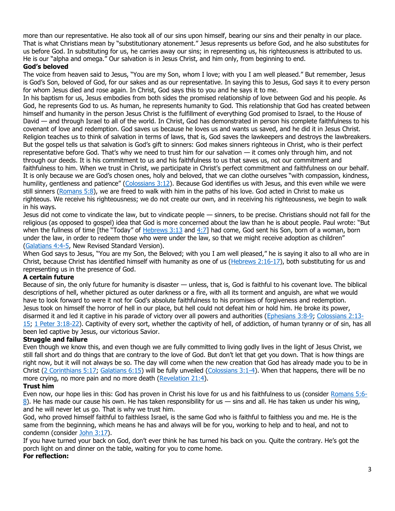more than our representative. He also took all of our sins upon himself, bearing our sins and their penalty in our place. That is what Christians mean by "substitutionary atonement." Jesus represents us before God, and he also substitutes for us before God. In substituting for us, he carries away our sins; in representing us, his righteousness is attributed to us. He is our "alpha and omega." Our salvation is in Jesus Christ, and him only, from beginning to end.

## **God's beloved**

The voice from heaven said to Jesus, "You are my Son, whom I love; with you I am well pleased." But remember, Jesus is God's Son, beloved of God, for our sakes and as our representative. In saying this to Jesus, God says it to every person for whom Jesus died and rose again. In Christ, God says this to you and he says it to me.

In his baptism for us, Jesus embodies from both sides the promised relationship of love between God and his people. As God, he represents God to us. As human, he represents humanity to God. This relationship that God has created between himself and humanity in the person Jesus Christ is the fulfillment of everything God promised to Israel, to the House of David — and through Israel to all of the world. In Christ, God has demonstrated in person his complete faithfulness to his covenant of love and redemption. God saves us because he loves us and wants us saved, and he did it in Jesus Christ. Religion teaches us to think of salvation in terms of laws, that is, God saves the lawkeepers and destroys the lawbreakers. But the gospel tells us that salvation is God's gift to sinners: God makes sinners righteous in Christ, who is their perfect representative before God. That's why we need to trust him for our salvation — it comes only through him, and not through our deeds. It is his commitment to us and his faithfulness to us that saves us, not our commitment and faithfulness to him. When we trust in Christ, we participate in Christ's perfect commitment and faithfulness on our behalf. It is only because we are God's chosen ones, holy and beloved, that we can clothe ourselves "with compassion, kindness, humility, gentleness and patience" ([Colossians 3:12\)](https://biblia.com/bible/niv/Col%203.12). Because God identifies us with Jesus, and this even while we were still sinners [\(Romans 5:8\)](https://biblia.com/bible/niv/Rom%205.8), we are freed to walk with him in the paths of his love. God acted in Christ to make us righteous. We receive his righteousness; we do not create our own, and in receiving his righteousness, we begin to walk in his ways.

Jesus did not come to vindicate the law, but to vindicate people — sinners, to be precise. Christians should not fall for the religious (as opposed to gospel) idea that God is more concerned about the law than he is about people. Paul wrote: "But when the fullness of time [the "Today" of  $Hebrews 3:13$  and  $4:7$ ] had come, God sent his Son, born of a woman, born under the law, in order to redeem those who were under the law, so that we might receive adoption as children" [\(Galatians 4:4-5,](https://biblia.com/bible/niv/Gal%204.4-5) New Revised Standard Version).

When God says to Jesus, "You are my Son, the Beloved; with you I am well pleased," he is saying it also to all who are in Christ, because Christ has identified himself with humanity as one of us [\(Hebrews 2:16-17\)](https://biblia.com/bible/niv/Heb%202.16-17), both substituting for us and representing us in the presence of God.

## **A certain future**

Because of sin, the only future for humanity is disaster — unless, that is, God is faithful to his covenant love. The biblical descriptions of hell, whether pictured as outer darkness or a fire, with all its torment and anguish, are what we would have to look forward to were it not for God's absolute faithfulness to his promises of forgiveness and redemption. Jesus took on himself the horror of hell in our place, but hell could not defeat him or hold him. He broke its power, disarmed it and led it captive in his parade of victory over all powers and authorities [\(Ephesians 3:8-9;](https://biblia.com/bible/niv/Eph%203.8-9) [Colossians 2:13-](https://biblia.com/bible/niv/Col%202.13-15) [15;](https://biblia.com/bible/niv/Col%202.13-15) [1 Peter 3:18-22\)](https://biblia.com/bible/niv/1%20Pet%203.18-22). Captivity of every sort, whether the captivity of hell, of addiction, of human tyranny or of sin, has all been led captive by Jesus, our victorious Savior.

## **Struggle and failure**

Even though we know this, and even though we are fully committed to living godly lives in the light of Jesus Christ, we still fall short and do things that are contrary to the love of God. But don't let that get you down. That is how things are right now, but it will not always be so. The day will come when the new creation that God has already made you to be in Christ [\(2 Corinthians 5:17;](https://biblia.com/bible/niv/2%20Cor%205.17) [Galatians 6:15\)](https://biblia.com/bible/niv/Gal%206.15) will be fully unveiled [\(Colossians 3:1-4\)](https://biblia.com/bible/niv/Col%203.1-4). When that happens, there will be no more crying, no more pain and no more death [\(Revelation 21:4\)](https://biblia.com/bible/niv/Rev%2021.4).

## **Trust him**

Even now, our hope lies in this: God has proven in Christ his love for us and his faithfulness to us (consider [Romans 5:6-](https://biblia.com/bible/niv/Rom%205.6-8) [8\)](https://biblia.com/bible/niv/Rom%205.6-8). He has made our cause his own. He has taken responsibility for us  $-$  sins and all. He has taken us under his wing, and he will never let us go. That is why we trust him.

God, who proved himself faithful to faithless Israel, is the same God who is faithful to faithless you and me. He is the same from the beginning, which means he has and always will be for you, working to help and to heal, and not to condemn (consider [John 3:17\)](https://biblia.com/bible/niv/John%203.17).

If you have turned your back on God, don't ever think he has turned his back on you. Quite the contrary. He's got the porch light on and dinner on the table, waiting for you to come home.

# **For reflection:**